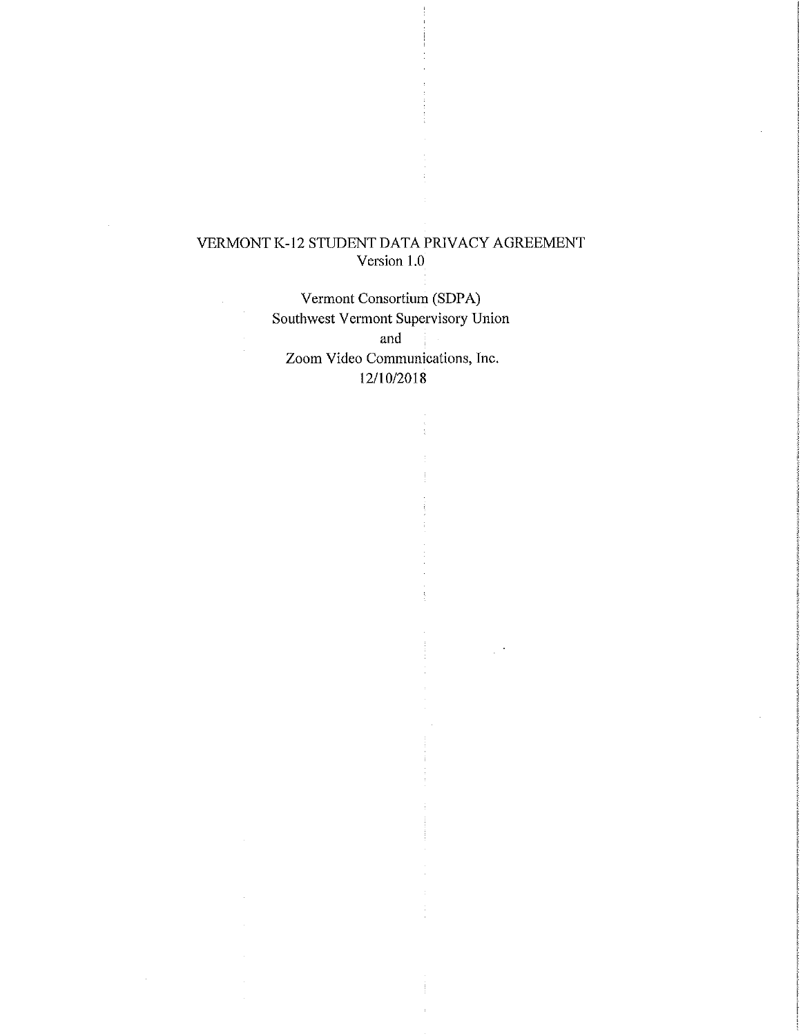# VERMONT K-12 STUDENT DATA PRIVACY AGREEMENT Version 1.0

Vermont Consortium (SDPA) Southwest Vermont Supervisory Union

and Zoom Video Communications, Inc. 12/10/2018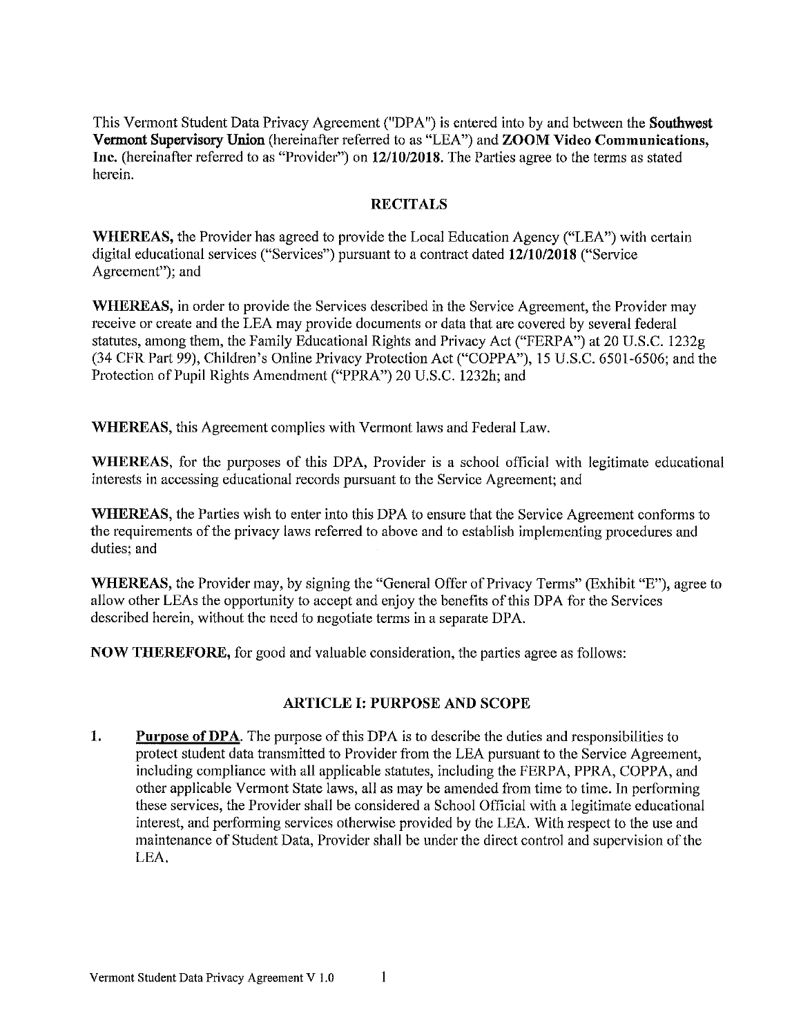This Vermont Student Data Privacy Agreement ("DPA") is entered into by and between the Southwest Vermont Supervisory Union (hereinafter referred to as "LEA") and ZOOM Video Communications, Inc. (hereinafter referred to as "Provider") on 12/10/2018. The Parties agree to the terms as stated herein.

### **RECITALS**

WHEREAS, the Provider has agreed to provide the Local Education Agency ("LEA") with certain digital educational services ("Services") pursuant to a contract dated 12/10/2018 ("Service Agreement"; and

WHEREAS, in order to provide the Services described in the Service Agreement, the Provider may receive or create and the LEA may provide documents or data that are covered by several federal statutes, among them, the Family Educational Rights and Privacy Act ("FERPA") at 20 U.S.C. 1232g (34 CFR Part 99), Children's Online Privacy Protection Act ("COPPA"), 15 U.S.C. 6501-6506; and the Protection of Pupil Rights Amendment ("PPRA") 20 U.S.C. 1232h; and

**WHEREAS**, this Agreement complies with Vermont laws and Federal Law.

**WHEREAS**, for the purposes of this DPA, Provider is a school official with legitimate educational interests in accessing educational records pursuant to the Service Agreement; and

**WHEREAS**, the Parties wish to enter into this DPA to ensure that the Service Agreement conforms to the requirements of the privacy laws referred to above and to establish implementing procedures and duties; and

WHEREAS, the Provider may, by signing the "General Offer of Privacy Terms" (Exhibit "E"), agree to allow other LEAs the opportunity to accept and enjoy the benefits of this DPA for the Services described herein, without the need to negotiate terms in a separate DPA.

**NOW THEREFORE,** for good and valuable consideration, the parties agree as follows:

## **ARTICLE I: PURPOSE AND SCOPE**

1. **Purpose of DPA.** The purpose of this DPA is to describe the duties and responsibilities to protect student data transmitted to Provider from the LEA pursuant to the Service Agreement, including compliance with all applicable statutes, including the FERPA, PPRA, COPPA, and other applicable Vermont State laws, all as may be amended from time to time. In performing these services, the Provider shall be considered a School Official with a legitimate educational interest, and performing services otherwise provided by the LEA. With respect to the use and maintenance of Student Data, Provider shall be under the direct control and supervision of the LEA.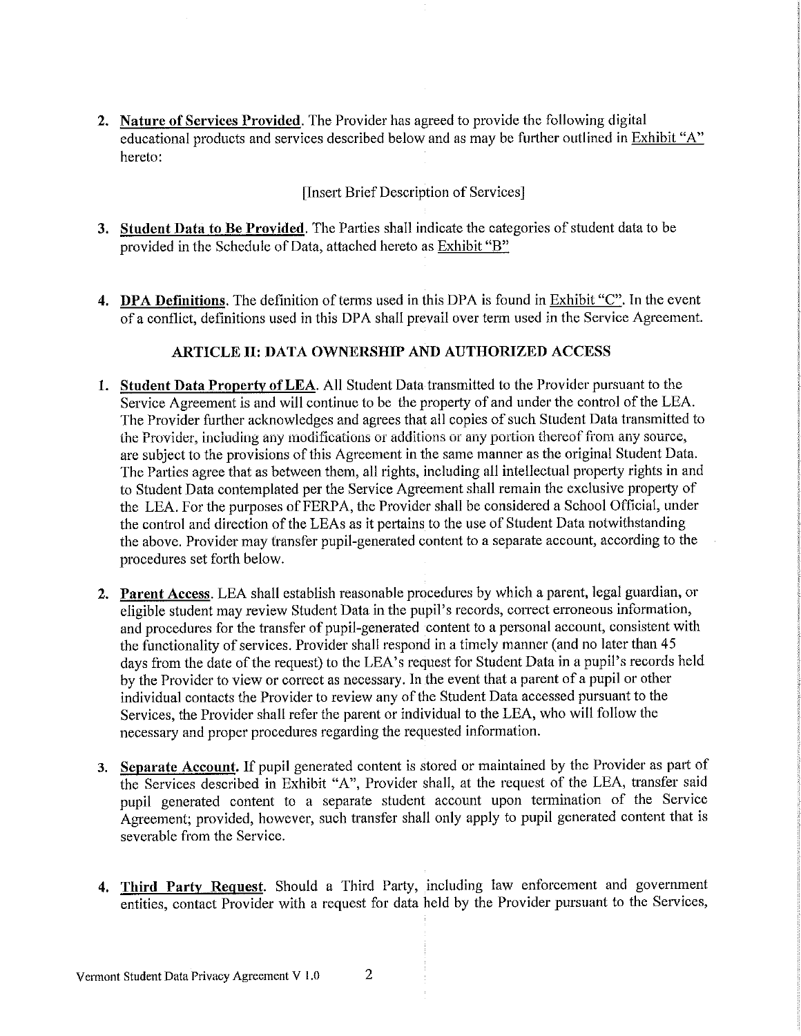2. Nature of Services Provided. The Provider has agreed to provide the following digital educational products and services described below and as may be further outlined in Exhibit "A" hereto:

# [Insert Brief Description of Services]

- 3. Student Data to Be Provided. The Parties shall indicate the categories of student data to be provided in the Schedule of Data, attached hereto as Exhibit "B"
- 4. DPA Definitions. The definition of terms used in this DPA is found in Exhibit "C". In the event of a conflict, definitions used in this DPA shall prevail over term used in the Service Agreement.

## ARTICLE II: DATA OWNERSHIP AND AUTHORIZED ACCESS

- 1. Student Data Property of LEA. All Student Data transmitted to the Provider pursuant to the Service Agreement is and will continue to be the property of and under the control of the LEA. The Provider further acknowledges and agrees that all copies of such Student Data transmitted to the Provider, including any modifications or additions or any portion thereof from any source, are subject to the provisions of this Agreement in the same manner as the original Student Data. The Parties agree that as between them, all rights, including all intellectual property rights in and to Student Data contemplated per the Service Agreement shall remain the exclusive property of the LEA. For the purposes of FERPA, the Provider shall be considered a School Official, under the control and direction of the LEAs as it pertains to the use of Student Data notwithstanding the above. Provider may transfer pupil-generated content to a separate account, according to the procedures set forth below.
- 2. Parent Access. LEA shall establish reasonable procedures by which a parent, legal guardian, or eligible student may review Student Data in the pupil's records, correct erroneous information, and procedures for the transfer of pupil-generated content to a personal account, consistent with the functionality of services. Provider shall respond in a timely manner (and no later than 45 days from the date of the request) to the LEA's request for Student Data in a pupil's records held by the Provider to view or correct as necessary. In the event that a parent of a pupil or other individual contacts the Provider to review any of the Student Data accessed pursuant to the Services, the Provider shall refer the parent or individual to the LEA, who will follow the necessary and proper procedures regarding the requested information.
- 3. Separate Account. If pupil generated content is stored or maintained by the Provider as part of the Services described in Exhibit "A", Provider shall, at the request of the LEA, transfer said pupil generated content to a separate student account upon termination of the Service Agreement; provided, however, such transfer shall only apply to pupil generated content that is severable from the Service.
- 4. Third Party Request. Should a Third Party, including law enforcement and government entities, contact Provider with a request for data held by the Provider pursuant to the Services,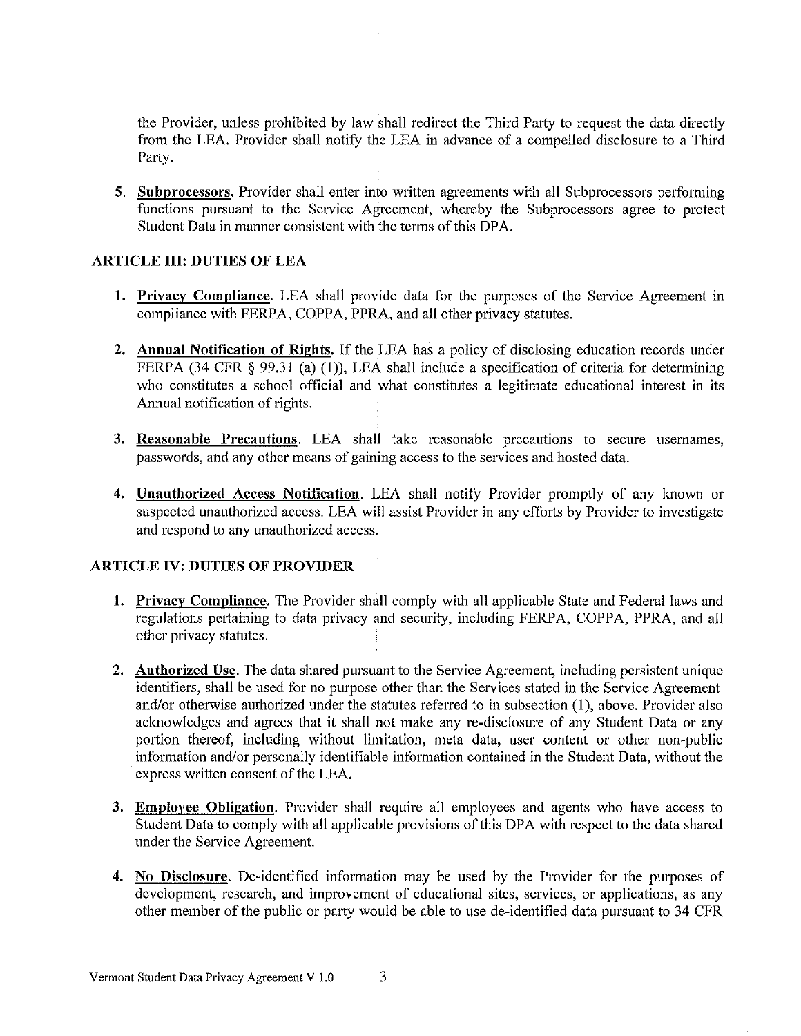the Provider, unless prohibited by law shall redirect the Third Party to request the data directly from the LEA. Provider shall notify the LEA in advance of a compelled disclosure to a Third Party.

5. Subprocessors. Provider shall enter into written agreements with all Subprocessors performing functions pursuant to the Service Agreement, whereby the Subprocessors agree to protect Student Data in manner consistent with the terms of this DPA.

### **ARTICLE III: DUTIES OF LEA**

- 1. Privacy Compliance. LEA shall provide data for the purposes of the Service Agreement in compliance with FERPA, COPPA, PPRA, and all other privacy statutes.
- 2. Annual Notification of Rights. If the LEA has a policy of disclosing education records under FERPA (34 CFR  $\S$  99.31 (a) (1)), LEA shall include a specification of criteria for determining who constitutes a school official and what constitutes a legitimate educational interest in its Annual notification of rights,
- 3. Reasonable Precautions. LEA shall take reasonable precautions to secure usernames, passwords, and any other means of gaining access to the services and hosted data.
- 4. Unauthorized Access Notification. LEA shall notify Provider promptly of any known or suspected unauthorized access. LEA will assist Provider in any efforts by Provider to investigate and respond to any unauthorized access.

## **ARTICLE IV: DUTIES OF PROVIDER**

- **1. Privacy Compliance.** The Provider shall comply with all applicable State and Federal laws and regulations pertaining to data privacy and security, including FERPA, COPPA, PPRA, and all other privacy statutes.
- 2. Authorized Use. The data shared pursuant to the Service Agreement, including persistent unique identifiers, shall be used for no purpose other than the Services stated in the Service Agreement and/or otherwise authorized under the statutes referred to in subsection (1), above. Provider also acknowledges and agrees that it shall not make any re-disclosure of any Student Data or any portion thereof, including without limitation, meta data, user content or other non-public information and/or personally identifiable information contained in the Student Data, without the express written consent of the LEA.
- 3. Employee Obligation. Provider shall require all employees and agents who have access to Student Data to comply with all applicable provisions of this DPA with respect to the data shared under the Service Agreement.
- 4. No Disclosure. De-identified information may be used by the Provider for the purposes of development, research, and improvement of educational sites, services, or applications, as any other member of the public or party would be able to use de-identified data pursuant to 34 CFR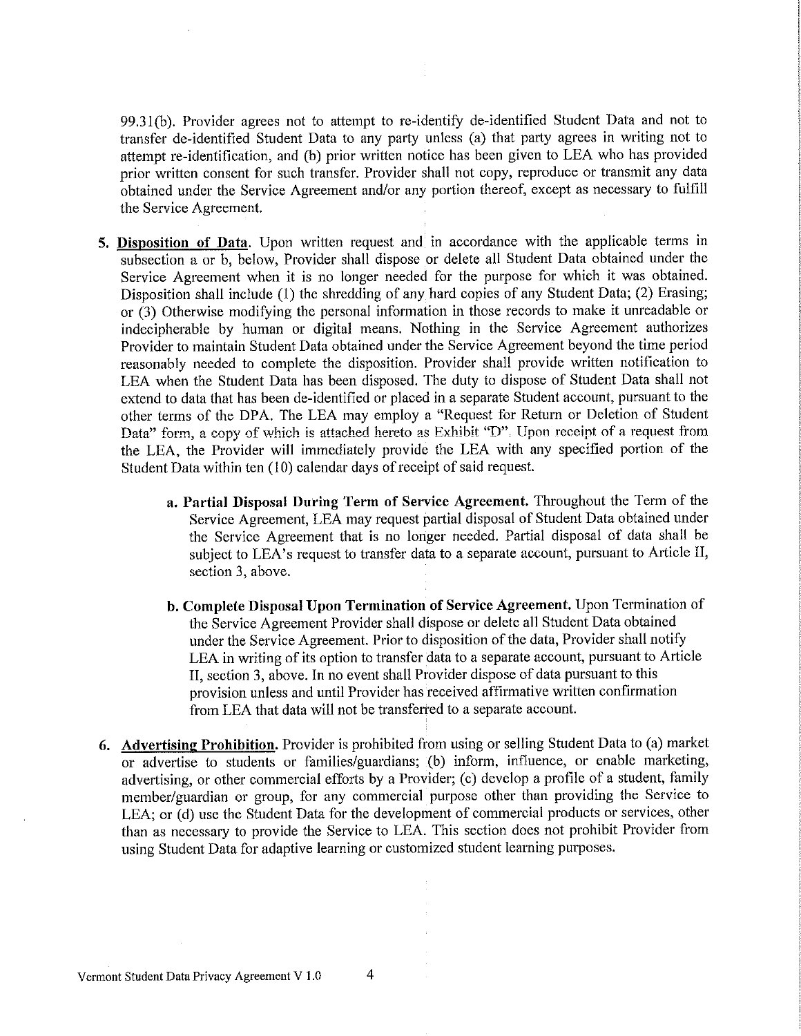99.31(b). Provider agrees not to attempt to re-identify de-identified Student Data and not to transfer de-identified Student Data to any party unless (a) that party agrees in writing not to attempt re-identification, and (b) prior written notice has been given to LEA who has provided prior written consent for such transfer. Provider shall not copy, reproduce or transmit any data obtained under the Service Agreement and/or any portion thereof, except as necessary to fulfill the Service Agreement.

- 5. Disposition of Data. Upon written request and in accordance with the applicable terms in subsection a or b, below, Provider shall dispose or delete all Student Data obtained under the Service Agreement when it is no longer needed for the purpose for which it was obtained. Disposition shall include (1) the shredding of any hard copies of any Student Data; (2) Erasing; or (3) Otherwise modifying the personal information in those records to make it unreadable or indecipherable by human or digital means. Nothing in the Service Agreement authorizes Provider to maintain Student Data obtained under the Service Agreement beyond the time period reasonably needed to complete the disposition. Provider shall provide written notification to LEA when the Student Data has been disposed. The duty to dispose of Student Data shall not extend to data that has been de-identified or placed in a separate Student account, pursuant to the other terms of the DPA. The LEA may employ a "Request for Return or Deletion of Student Data" form, a copy of which is attached hereto as Exhibit "D". Upon receipt of a request from the LEA, the Provider will immediately provide the LEA with any specified portion of the Student Data within ten (10) calendar days of receipt of said request.
	- a. Partial Disposal During Term of Service Agreement. Throughout the Term of the Service Agreement, LEA may request partial disposal of Student Data obtained under the Service Agreement that is no longer needed. Partial disposal of data shall be subject to LEA's request to transfer data to a separate account, pursuant to Article II, section 3, above.
	- b. Complete Disposal Upon Termination of Service Agreement. Upon Termination of the Service Agreement Provider shall dispose or delete all Student Data obtained under the Service Agreement. Prior to disposition of the data, Provider shall notify LEA in writing of its option to transfer data to a separate account, pursuant to Article II, section 3, above. In no event shall Provider dispose of data pursuant to this provision unless and until Provider has received affirmative written confirmation from LEA that data will not be transferred to a separate account.
- 6. Advertising Prohibition. Provider is prohibited from using or selling Student Data to (a) market or advertise to students or families/guardians; (b) inform, influence, or enable marketing, advertising, or other commercial efforts by a Provider; (c) develop a profile of a student, family member/guardian or group, for any commercial purpose other than providing the Service to LEA; or (d) use the Student Data for the development of commercial products or services, other than as necessary to provide the Service to LEA. This section does not prohibit Provider from using Student Data for adaptive learning or customized student learning purposes.

 $\overline{4}$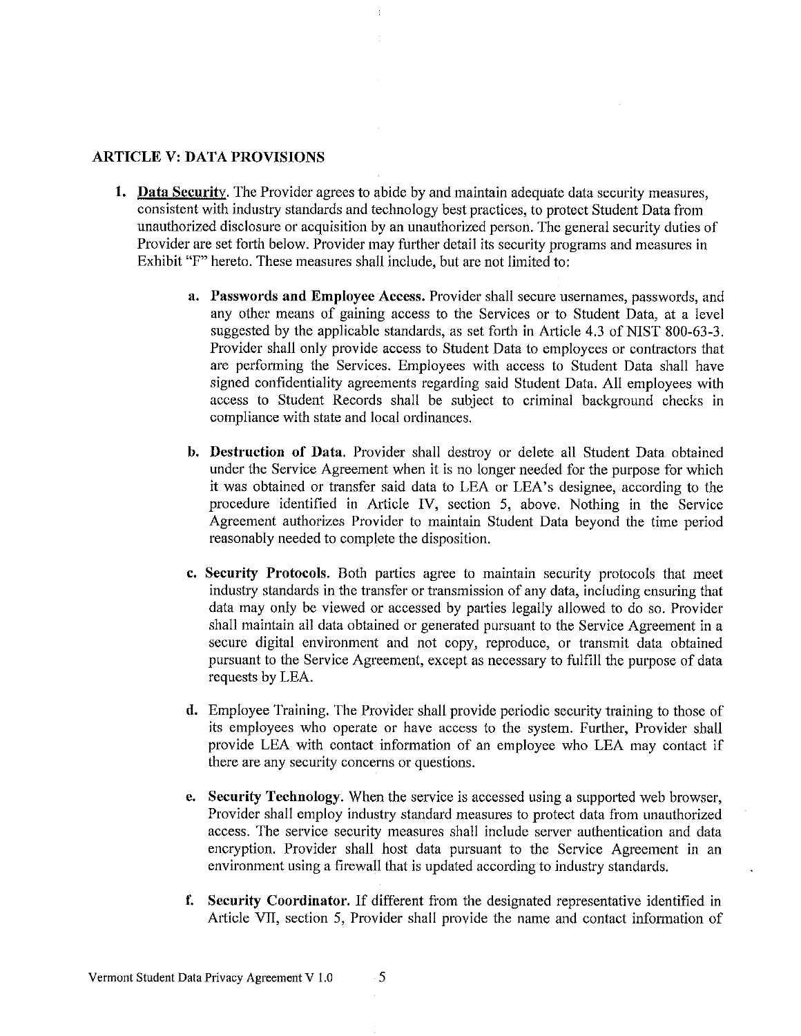## **ARTICLE V: DATA PROVISIONS**

- 1. Data Security. The Provider agrees to abide by and maintain adequate data security measures, consistent with industry standards and technology best practices, to protect Student Data from unauthorized disclosure or acquisition by an unauthorized person. The general security duties of Provider are set forth below. Provider may further detail its security programs and measures in Exhibit "F" hereto. These measures shall include, but are not limited to:
	- a. Passwords and Employee Access. Provider shall secure usernames, passwords, and any other means of gaining access to the Services or to Student Data, at a level suggested by the applicable standards, as set forth in Article 4.3 of NIST 800-63-3. Provider shall only provide access to Student Data to employees or contractors that are performing the Services. Employees with access to Student Data shall have signed confidentiality agreements regarding said Student Data. All employees with access to Student Records shall be subject to criminal background checks in compliance with state and local ordinances.
	- b. Destruction of Data. Provider shall destroy or delete all Student Data obtained under the Service Agreement when it is no longer needed for the purpose for which it was obtained or transfer said data to LEA or LEA's designee, according to the procedure identified in Article IV, section 5, above. Nothing in the Service Agreement authorizes Provider to maintain Student Data beyond the time period reasonably needed to complete the disposition.
	- c. Security Protocols. Both parties agree to maintain security protocols that meet industry standards in the transfer or transmission of any data, including ensuring that data may only be viewed or accessed by parties legally allowed to do so. Provider shall maintain all data obtained or generated pursuant to the Service Agreement in a secure digital environment and not copy, reproduce, or transmit data obtained pursuant to the Service Agreement, except as necessary to fulfill the purpose of data requests by LEA.
	- d. Employee Training. The Provider shall provide periodic security training to those of its employees who operate or have access to the system. Further, Provider shall provide LEA with contact information of an employee who LEA may contact if there are any security concerns or questions.
	- **e.** Security Technology. When the service is accessed using a supported web browser, Provider shall employ industry standard measures to protect data from unauthorized access. The service security measures shall include server authentication and data encryption. Provider shall host data pursuant to the Service Agreement in an environment using a firewall that is updated according to industry standards.
	- f. Security Coordinator. If different from the designated representative identified in Article VII, section 5, Provider shall provide the name and contact information of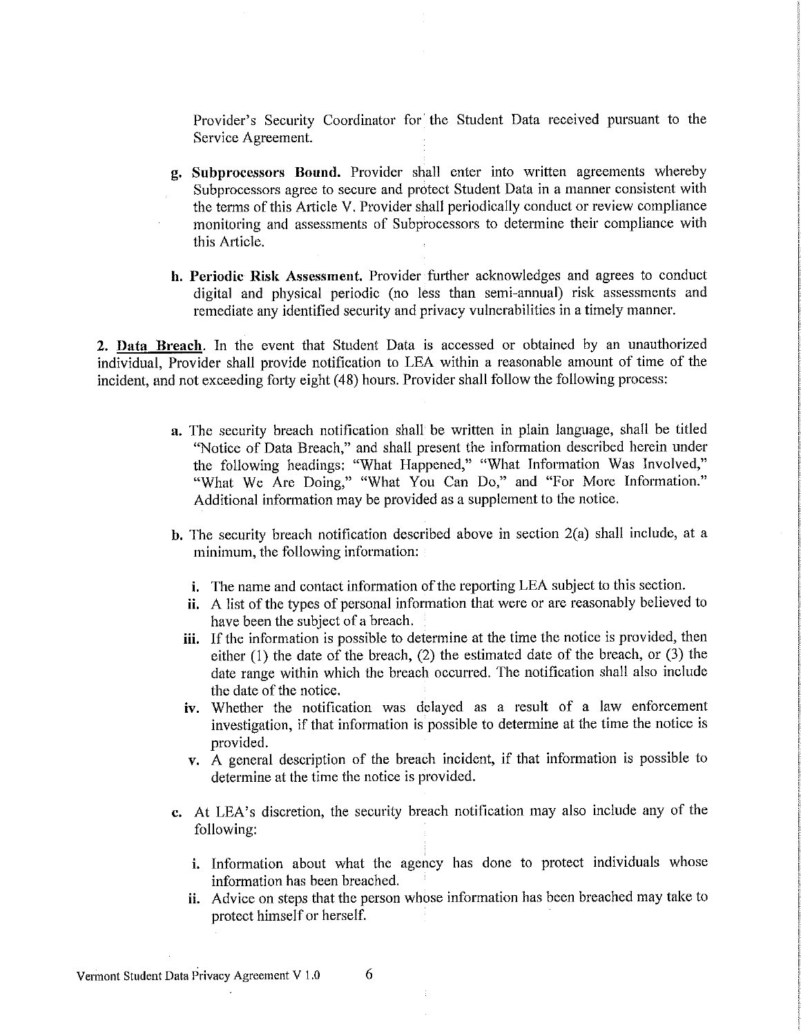Provider's Security Coordinator for the Student Data received pursuant to the Service Agreement.

- g. Subprocessors Bound. Provider shall enter into written agreements whereby Subprocessors agree to secure and protect Student Data in a manner consistent with the terms of this Article V. Provider shall periodically conduct or review compliance monitoring and assessments of Subprocessors to determine their compliance with this Article.
- **h. Periodic Risk Assessment.** Provider further acknowledges and agrees to conduct digital and physical periodic (no less than semi-annual) risk assessments and remediate any identified security and privacy vulnerabilities in a timely manner.

2. Data Breach. In the event that Student Data is accessed or obtained by an unauthorized individual, Provider shall provide notification to LEA within a reasonable amount of time of the incident, and not exceeding forty eight (48) hours. Provider shall follow the following process:

- a. The security breach notification shall be written in plain language, shall be titled "Notice of Data Breach," and shall present the information described herein under the following headings: "What Happened," "What Information Was Involved," "What We Are Doing," "What You Can Do," and "For More Information." Additional information may be provided as a supplement to the notice.
- b. The security breach notification described above in section  $2(a)$  shall include, at a minimum, the following information:
	- i. The name and contact information of the reporting LEA subject to this section.
	- ii. A list of the types of personal information that were or are reasonably believed to have been the subject of a breach.
	- iii. If the information is possible to determine at the time the notice is provided, then either  $(1)$  the date of the breach,  $(2)$  the estimated date of the breach, or  $(3)$  the date range within which the breach occurred. The notification shall also include the date of the notice.
	- iv. Whether the notification was delayed as a result of a law enforcement investigation, if that information is possible to determine at the time the notice is provided.
	- v. A general description of the breach incident, if that information is possible to determine at the time the notice is provided.
- c. At LEA's discretion, the security breach notification may also include any of the following:
	- i. Information about what the agency has done to protect individuals whose information has been breached.
	- **ii.** Advice on steps that the person whose information has been breached may take to protect himself or herself.

6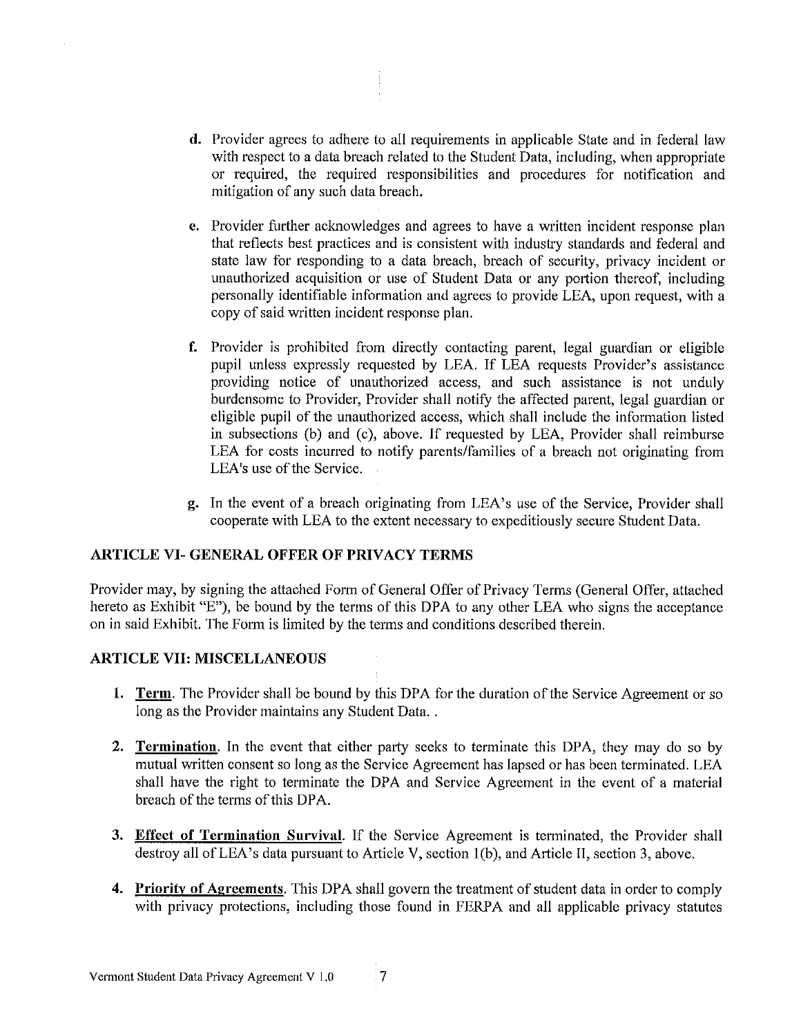- d. Provider agrees to adhere to all requirements in applicable State and in federal law with respect to a data breach related to the Student Data, including, when appropriate or required, the required responsibilities and procedures for notification and mitigation of any such data breach.
- **e.** Provider further acknowledges and agrees to have a written incident response plan that reflects best practices and is consistent with industry standards and federal and state law for responding to a data breach, breach of security, privacy incident or unauthorized acquisition or use of Student Data or any portion thereof, including personally identifiable information and agrees to provide LEA, upon request, with a copy of said written incident response plan.
- f. Provider is prohibited from directly contacting parent, legal guardian or eligible pupil unless expressly requested by LEA. If LEA requests Provider's assistance providing notice of unauthorized access, and such assistance is not unduly burdensome to Provider, Provider shall notify the affected parent, legal guardian or eligible pupil of the unauthorized access, which shall include the information listed in subsections (b) and (c), above. If requested by LEA, Provider shall reimburse LEA for costs incurred to notify parents/families of a breach not originating from LEA's use of the Service.
- g. In the event of a breach originating from LEA's use of the Service, Provider shall cooperate with LEA to the extent necessary to expeditiously secure Student Data.

### **ARTICLE VI- GENERAL OFFER OF PRIVACY TERMS**

Provider may, by signing the attached Form of General Offer of Privacy Terms (General Offer, attached hereto as Exhibit "E"), be bound by the terms of this DPA to any other LEA who signs the acceptance on in said Exhibit. The Form is limited by the terms and conditions described therein.

## **ARTICLE VII: MISCELLANEOUS**

- **1.** Term. The Provider shall be bound by this DPA for the duration of the Service Agreement or so long as the Provider maintains any Student Data...
- 2. Termination. In the event that either party seeks to terminate this DPA, they may do so by mutual written consent so long as the Service Agreement has lapsed or has been terminated. LEA shall have the right to terminate the DPA and Service Agreement in the event of a material breach of the terms of this DPA.
- 3. Effect of Termination Survival. If the Service Agreement is terminated, the Provider shall destroy all of LEA's data pursuant to Article V, section 1(b), and Article II, section 3, above.
- 4. Priority of Agreements. This DPA shall govern the treatment of student data in order to comply with privacy protections, including those found in FERPA and all applicable privacy statutes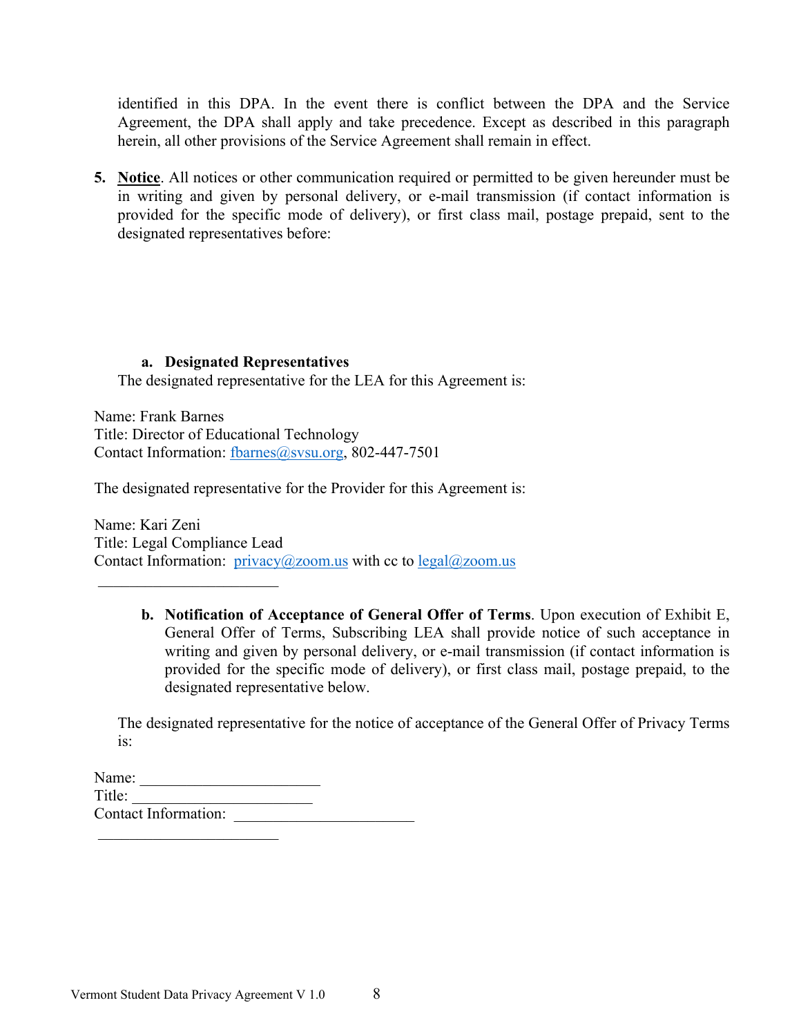identified in this DPA. In the event there is conflict between the DPA and the Service Agreement, the DPA shall apply and take precedence. Except as described in this paragraph herein, all other provisions of the Service Agreement shall remain in effect.

**5. Notice**. All notices or other communication required or permitted to be given hereunder must be in writing and given by personal delivery, or e-mail transmission (if contact information is provided for the specific mode of delivery), or first class mail, postage prepaid, sent to the designated representatives before:

## **a. Designated Representatives**

The designated representative for the LEA for this Agreement is:

Name: Frank Barnes Title: Director of Educational Technology Contact Information: fbarnes@svsu.org, 802-447-7501

The designated representative for the Provider for this Agreement is:

Name: Kari Zeni Title: Legal Compliance Lead Contact Information:  $\frac{\text{privacy}(a) \text{zoom.us}}{\text{with cc}}$  to  $\frac{\text{legal}(a) \text{zoom.us}}{\text{new} \text{with}}$ 

> **b. Notification of Acceptance of General Offer of Terms**. Upon execution of Exhibit E, General Offer of Terms, Subscribing LEA shall provide notice of such acceptance in writing and given by personal delivery, or e-mail transmission (if contact information is provided for the specific mode of delivery), or first class mail, postage prepaid, to the designated representative below.

The designated representative for the notice of acceptance of the General Offer of Privacy Terms is:

| Name:                       |  |
|-----------------------------|--|
| Title:                      |  |
| <b>Contact Information:</b> |  |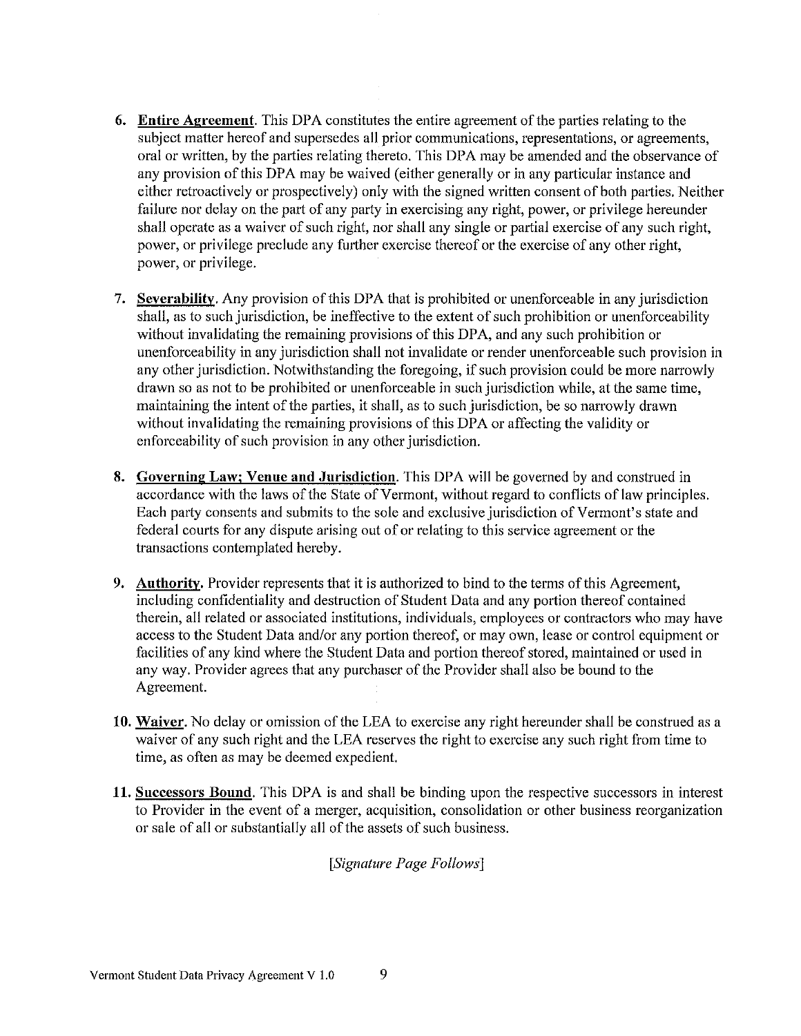- 6. Entire Agreement. This DPA constitutes the entire agreement of the parties relating to the subject matter hereof and supersedes all prior communications, representations, or agreements, oral or written, by the parties relating thereto. This DPA may be amended and the observance of any provision of this DPA may be waived (either generally or in any particular instance and either retroactively or prospectively) only with the signed written consent of both parties. Neither failure nor delay on the part of any party in exercising any right, power, or privilege hereunder shall operate as a waiver of such right, nor shall any single or partial exercise of any such right, power, or privilege preclude any further exercise thereof or the exercise of any other right, power, or privilege.
- 7. Severability. Any provision of this DPA that is prohibited or unenforceable in any jurisdiction shall, as to such jurisdiction, be ineffective to the extent of such prohibition or unenforceability without invalidating the remaining provisions of this DPA, and any such prohibition or unenforceability in any jurisdiction shall not invalidate or render unenforceable such provision in any other jurisdiction. Notwithstanding the foregoing, if such provision could be more narrowly drawn so as not to be prohibited or unenforceable in such jurisdiction while, at the same time, maintaining the intent of the parties, it shall, as to such jurisdiction, be so narrowly drawn without invalidating the remaining provisions of this DPA or affecting the validity or enforceability of such provision in any other jurisdiction.
- 8. Governing Law; Venue and Jurisdiction. This DPA will be governed by and construed in accordance with the laws of the State of Vermont, without regard to conflicts of law principles. Each party consents and submits to the sole and exclusive jurisdiction of Vermont's state and federal courts for any dispute arising out of or relating to this service agreement or the transactions contemplated hereby.
- 9. Authority. Provider represents that it is authorized to bind to the terms of this Agreement, including confidentiality and destruction of Student Data and any portion thereof contained therein, all related or associated institutions, individuals, employees or contractors who may have access to the Student Data and/or any portion thereof, or may own, lease or control equipment or facilities of any kind where the Student Data and portion thereof stored, maintained or used in any way. Provider agrees that any purchaser of the Provider shall also be bound to the Agreement.
- 10. Waiver. No delay or omission of the LEA to exercise any right hereunder shall be construed as a waiver of any such right and the LEA reserves the right to exercise any such right from time to time, as often as may be deemed expedient.
- 11. Successors Bound. This DPA is and shall be binding upon the respective successors in interest to Provider in the event of a merger, acquisition, consolidation or other business reorganization or sale of all or substantially all of the assets of such business.

# [Signature Page Follows]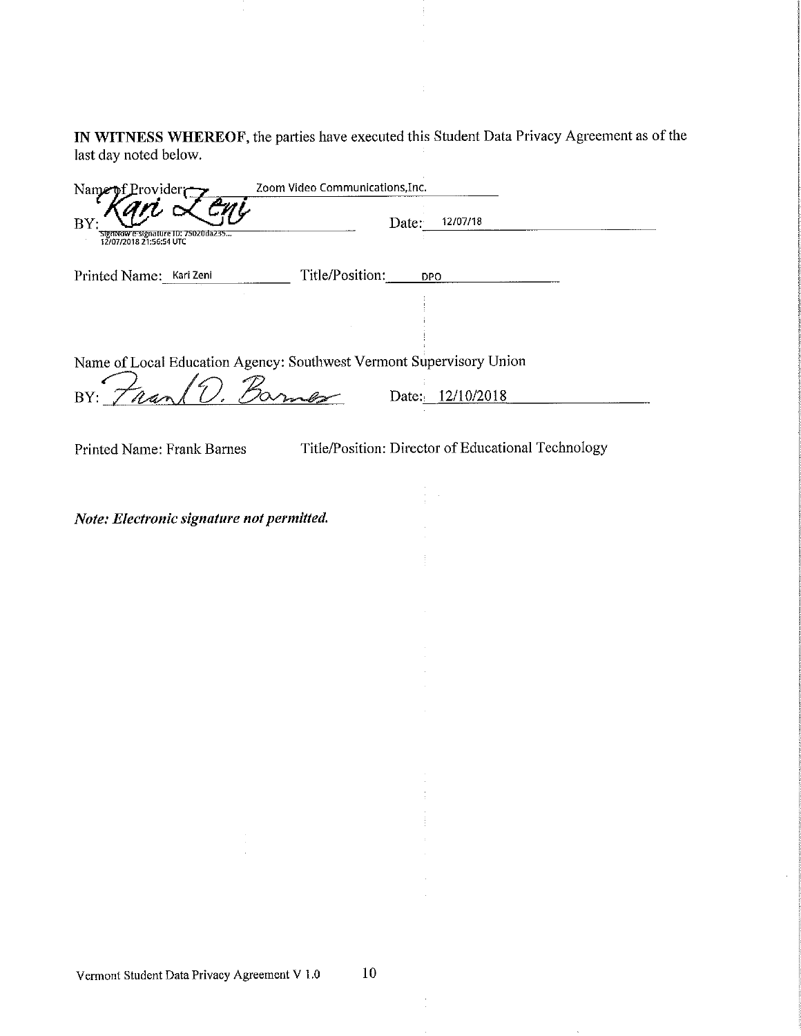IN WITNESS WHEREOF, the parties have executed this Student Data Privacy Agreement as of the last day noted below.

| Name<br>ovider                                                      | Zoom Video Communications, Inc. |                                                    |  |
|---------------------------------------------------------------------|---------------------------------|----------------------------------------------------|--|
| BΥ<br>rure ID: 75020da235                                           |                                 | 12/07/18<br>Date:                                  |  |
| Printed Name: Kari Zeni                                             | Title/Position:                 | <b>DPO</b>                                         |  |
|                                                                     |                                 |                                                    |  |
| Name of Local Education Agency: Southwest Vermont Supervisory Union |                                 |                                                    |  |
| $\frac{1}{2}$<br>BY:                                                | $\mathcal{B}_{\alpha}$          | Date: 12/10/2018                                   |  |
| Printed Name: Frank Barnes                                          |                                 | Title/Position: Director of Educational Technology |  |
|                                                                     |                                 |                                                    |  |
| Note: Electronic signature not permitted.                           |                                 |                                                    |  |
|                                                                     |                                 |                                                    |  |
|                                                                     |                                 |                                                    |  |
|                                                                     |                                 |                                                    |  |
|                                                                     |                                 |                                                    |  |
|                                                                     |                                 |                                                    |  |
|                                                                     |                                 |                                                    |  |
|                                                                     |                                 |                                                    |  |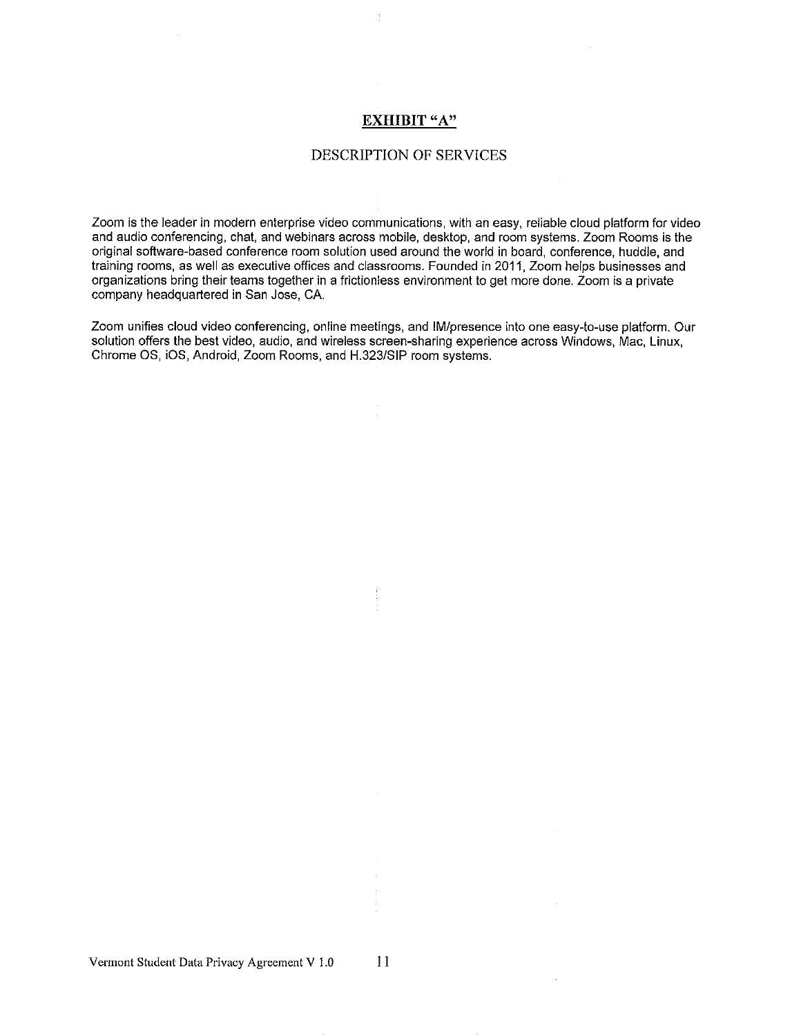#### **EXHIBIT** "A"

#### DESCRIPTION OF SERVICES

Zoom is the leader in modern enterprise video communications, with an easy, reliable cloud platform for video and audio conferencing, chat, and webinars across mobile, desktop, and room systems. Zoom Rooms is the original software-based conference room solution used around the world in board, conference, huddle, and training rooms, as well as executive offices and classrooms. Founded in 2011, Zoom helps businesses and organizations bring their teams together in a frictionless environment to get more done. Zoom is a private company headquartered in San Jose, CA.

Zoom unifies cloud video conferencing, online meetings, and IM/presence into one easy-to-use platform. Our solution offers the best video, audio, and wireless screen-sharing experience across Windows, Mac, Linux, Chrome OS, iOS, Android, Zoom Rooms, and H.323/SIP room systems.

 $11$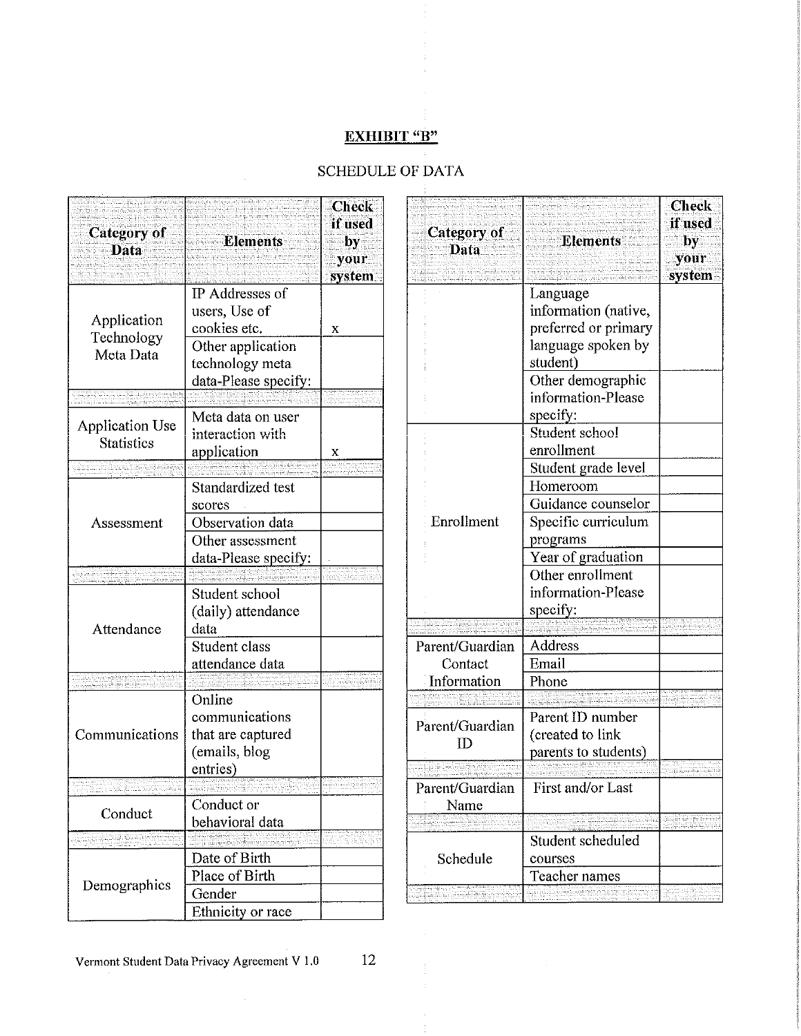# **EXHIBIT "B"**

# SCHEDULE OF DATA

÷

| system |
|--------|
| x      |
|        |
| x      |
|        |
|        |
|        |
|        |
|        |
|        |
|        |
|        |
|        |
|        |
|        |
|        |
|        |
|        |
|        |
|        |

| <b>Category</b> of<br>Data | <b>Elements</b>                  | <b>Check</b><br>if used<br>by<br>your<br>system |
|----------------------------|----------------------------------|-------------------------------------------------|
|                            | Language<br>information (native, |                                                 |
|                            | preferred or primary             |                                                 |
|                            | language spoken by               |                                                 |
|                            | student)                         |                                                 |
|                            | Other demographic                |                                                 |
|                            | information-Please               |                                                 |
|                            | specify:                         |                                                 |
|                            | Student school                   |                                                 |
|                            | enrollment                       |                                                 |
|                            | Student grade level              |                                                 |
|                            | Homeroom                         |                                                 |
|                            | Guidance counselor               |                                                 |
| Enrollment                 | Specific curriculum              |                                                 |
|                            | programs                         |                                                 |
|                            | Year of graduation               |                                                 |
|                            | Other enrollment                 |                                                 |
|                            | information-Please               |                                                 |
|                            | specify:                         |                                                 |
|                            | Address                          |                                                 |
| Parent/Guardian<br>Contact | Email                            |                                                 |
| Information                | Phone                            |                                                 |
|                            |                                  |                                                 |
|                            | Parent ID number                 |                                                 |
| Parent/Guardian            | (created to link                 |                                                 |
| TD.                        | parents to students)             |                                                 |
|                            |                                  |                                                 |
| Parent/Guardian            | First and/or Last                |                                                 |
| Name                       |                                  |                                                 |
|                            |                                  |                                                 |
|                            | Student scheduled                |                                                 |
| Schedule                   | courses                          |                                                 |
|                            | Teacher names                    |                                                 |
|                            |                                  |                                                 |

12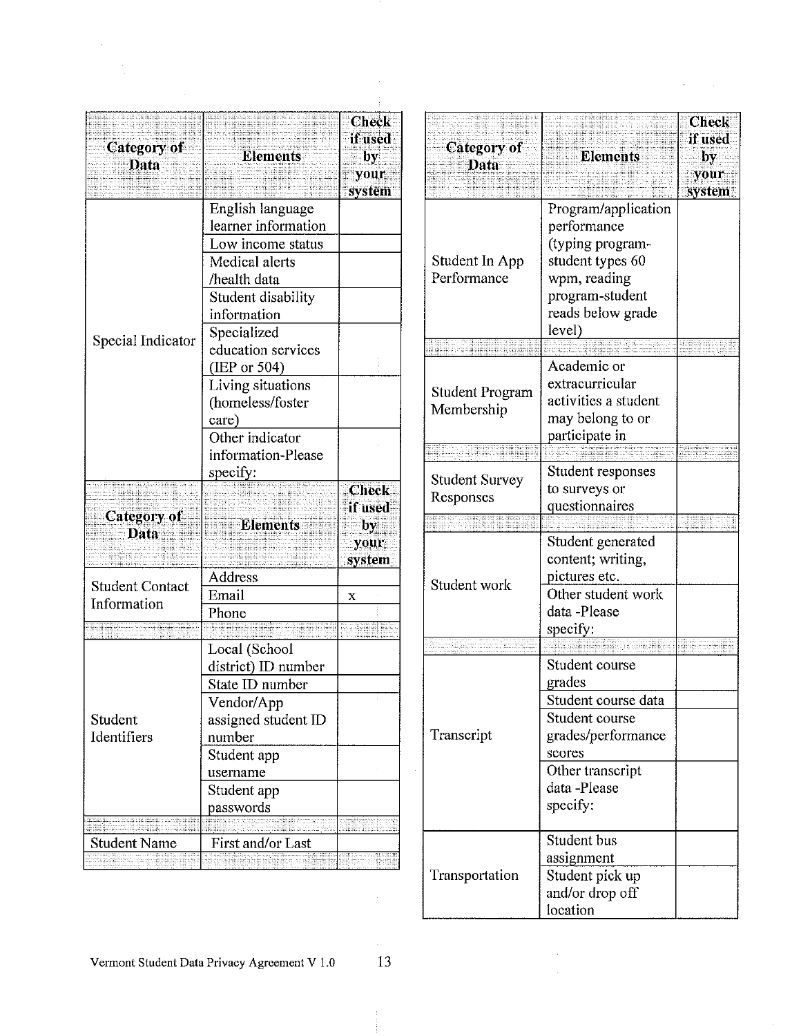| <b>Category of</b><br>Data | <b>Elements</b>                   | <b>Check</b><br>if used<br>by.<br>your<br>system |
|----------------------------|-----------------------------------|--------------------------------------------------|
|                            | English language                  |                                                  |
|                            | learner information               |                                                  |
|                            | Low income status                 |                                                  |
|                            | Medical alerts                    |                                                  |
|                            | /health data                      |                                                  |
|                            | Student disability                |                                                  |
|                            | information                       |                                                  |
| Special Indicator          | Specialized<br>education services |                                                  |
|                            | (IEP or 504)                      |                                                  |
|                            | Living situations                 |                                                  |
|                            | (homeless/foster                  |                                                  |
|                            | care)                             |                                                  |
|                            | Other indicator                   |                                                  |
|                            | information-Please                |                                                  |
|                            | specify:                          |                                                  |
|                            |                                   | <b>Check</b>                                     |
|                            |                                   | if used                                          |
| <b>Category of</b>         | <b>Elements</b>                   | by                                               |
| <b>Data</b>                |                                   | your                                             |
|                            |                                   | system                                           |
| <b>Student Contact</b>     | Address                           |                                                  |
| Information                | Email                             | х                                                |
|                            | Phone                             |                                                  |
|                            |                                   |                                                  |
|                            | Local (School                     |                                                  |
|                            | district) ID number               |                                                  |
|                            | State ID number                   |                                                  |
|                            | Vendor/App                        |                                                  |
| Student                    | assigned student ID               |                                                  |
| Identifiers                | number                            |                                                  |
|                            | Student app                       |                                                  |
|                            | username                          |                                                  |
|                            | Student app                       |                                                  |
|                            | passwords                         |                                                  |
|                            |                                   |                                                  |
| <b>Student Name</b>        | First and/or Last                 |                                                  |
|                            |                                   |                                                  |

 $\sim$   $\sim$ 

| Category of<br><b>Data</b>         | <b>Elements</b>                                                                                                                                  | Check<br>if used<br>by<br>your<br>system |
|------------------------------------|--------------------------------------------------------------------------------------------------------------------------------------------------|------------------------------------------|
| Student In App<br>Performance      | Program/application<br>performance<br>(typing program-<br>student types 60<br>wpm, reading<br>program-student<br>reads below grade<br>level)     |                                          |
|                                    |                                                                                                                                                  |                                          |
| Student Program<br>Membership      | Academic or<br>extracurricular<br>activities a student<br>may belong to or<br>participate in                                                     |                                          |
|                                    |                                                                                                                                                  |                                          |
| <b>Student Survey</b><br>Responses | Student responses<br>to surveys or<br>questionnaires                                                                                             |                                          |
|                                    |                                                                                                                                                  |                                          |
| Student work                       | Student generated<br>content; writing,<br>pictures etc.<br>Other student work<br>data -Please<br>specify:                                        |                                          |
|                                    |                                                                                                                                                  |                                          |
| Transcript                         | Student course<br>grades<br>Student course data<br>Student course<br>grades/performance<br>scores<br>Other transcript<br>data-Please<br>specify: |                                          |
| Transportation                     | Student bus<br>assignment<br>Student pick up<br>and/or drop off<br>location                                                                      |                                          |

 $\sim 10$ 

 $\hat{\mathcal{L}}$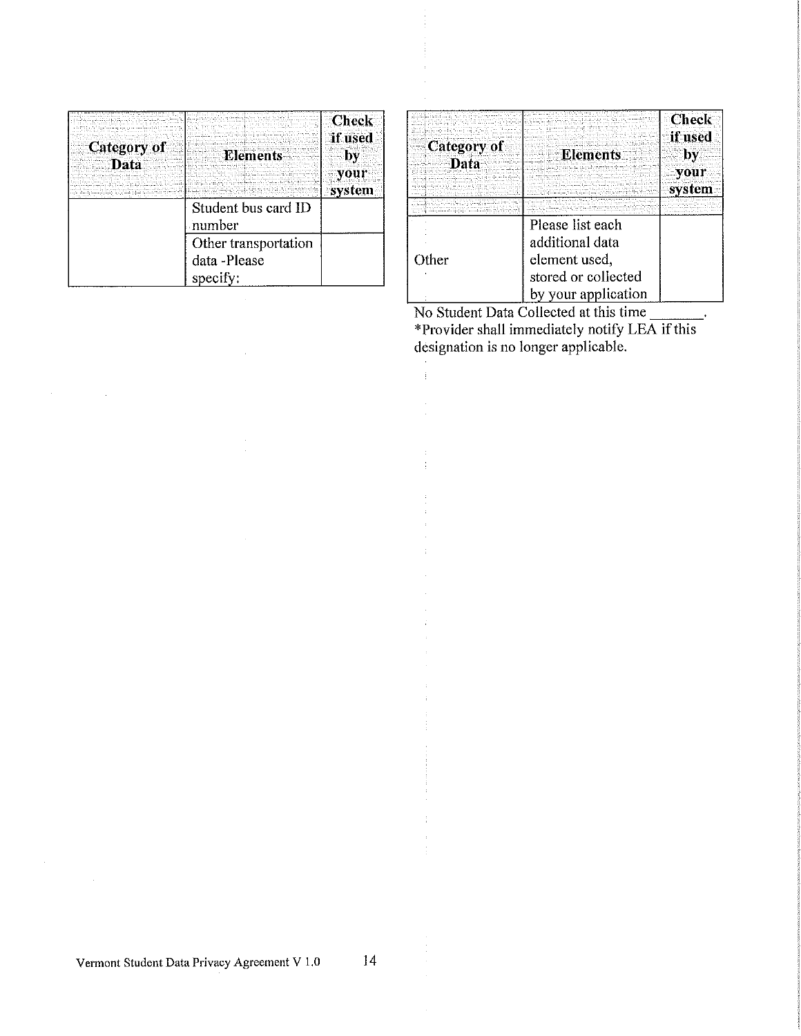|                            |                      | <b>Check</b><br>if used |
|----------------------------|----------------------|-------------------------|
| <b>Category of</b><br>Data | <b>Elements</b>      | by                      |
|                            |                      | system                  |
|                            | Student bus card ID  |                         |
|                            | number               |                         |
|                            | Other transportation |                         |
|                            | data -Please         |                         |
|                            | specify:             |                         |

|             |                     | <b>Check</b> |
|-------------|---------------------|--------------|
|             |                     |              |
|             |                     |              |
|             |                     | if used      |
|             |                     |              |
| Category of |                     |              |
|             | <b>Elements</b>     | by           |
| Data        |                     |              |
|             |                     |              |
|             |                     | vour         |
|             |                     |              |
|             |                     | system       |
|             |                     |              |
|             |                     |              |
|             |                     |              |
|             |                     |              |
|             |                     |              |
|             | Please list each    |              |
|             |                     |              |
|             | additional data     |              |
| Other       |                     |              |
|             | element used,       |              |
|             | stored or collected |              |
|             |                     |              |
|             | by your application |              |
|             |                     |              |

No Student Data Collected at this time \*Provider shall immediately notify LEA if this designation is no longer applicable.

 $\bar{z}$  $\hat{\mathbf{r}}$ 

14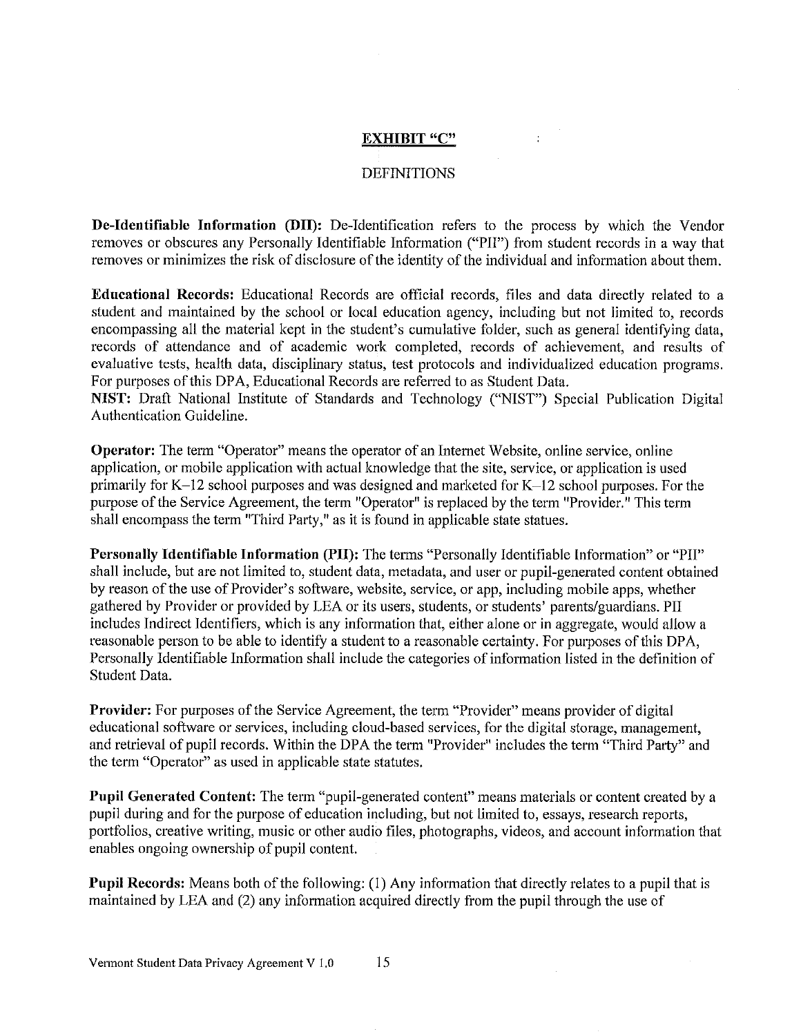### **EXHIBIT "C"**

 $\ddot{\phantom{a}}$ 

### **DEFINITIONS**

De-Identifiable Information (DII): De-Identification refers to the process by which the Vendor removes or obscures any Personally Identifiable Information ("PII") from student records in a way that removes or minimizes the risk of disclosure of the identity of the individual and information about them.

**Educational Records:** Educational Records are official records, files and data directly related to a student and maintained by the school or local education agency, including but not limited to, records encompassing all the material kept in the student's cumulative folder, such as general identifying data, records of attendance and of academic work completed, records of achievement, and results of evaluative tests, health data, disciplinary status, test protocols and individualized education programs. For purposes of this DPA, Educational Records are referred to as Student Data.

NIST: Draft National Institute of Standards and Technology ("NIST") Special Publication Digital Authentication Guideline.

**Operator:** The term "Operator" means the operator of an Internet Website, online service, online application, or mobile application with actual knowledge that the site, service, or application is used primarily for K-12 school purposes and was designed and marketed for K-12 school purposes. For the purpose of the Service Agreement, the term "Operator" is replaced by the term "Provider." This term shall encompass the term "Third Party," as it is found in applicable state statues.

Personally Identifiable Information (PII): The terms "Personally Identifiable Information" or "PII" shall include, but are not limited to, student data, metadata, and user or pupil-generated content obtained by reason of the use of Provider's software, website, service, or app, including mobile apps, whether gathered by Provider or provided by LEA or its users, students, or students' parents/guardians. PII includes Indirect Identifiers, which is any information that, either alone or in aggregate, would allow a reasonable person to be able to identify a student to a reasonable certainty. For purposes of this DPA, Personally Identifiable Information shall include the categories of information listed in the definition of Student Data.

Provider: For purposes of the Service Agreement, the term "Provider" means provider of digital educational software or services, including cloud-based services, for the digital storage, management, and retrieval of pupil records. Within the DPA the term "Provider" includes the term "Third Party" and the term "Operator" as used in applicable state statutes.

Pupil Generated Content: The term "pupil-generated content" means materials or content created by a pupil during and for the purpose of education including, but not limited to, essays, research reports, portfolios, creative writing, music or other audio files, photographs, videos, and account information that enables ongoing ownership of pupil content.

**Pupil Records:** Means both of the following: (1) Any information that directly relates to a pupil that is maintained by LEA and (2) any information acquired directly from the pupil through the use of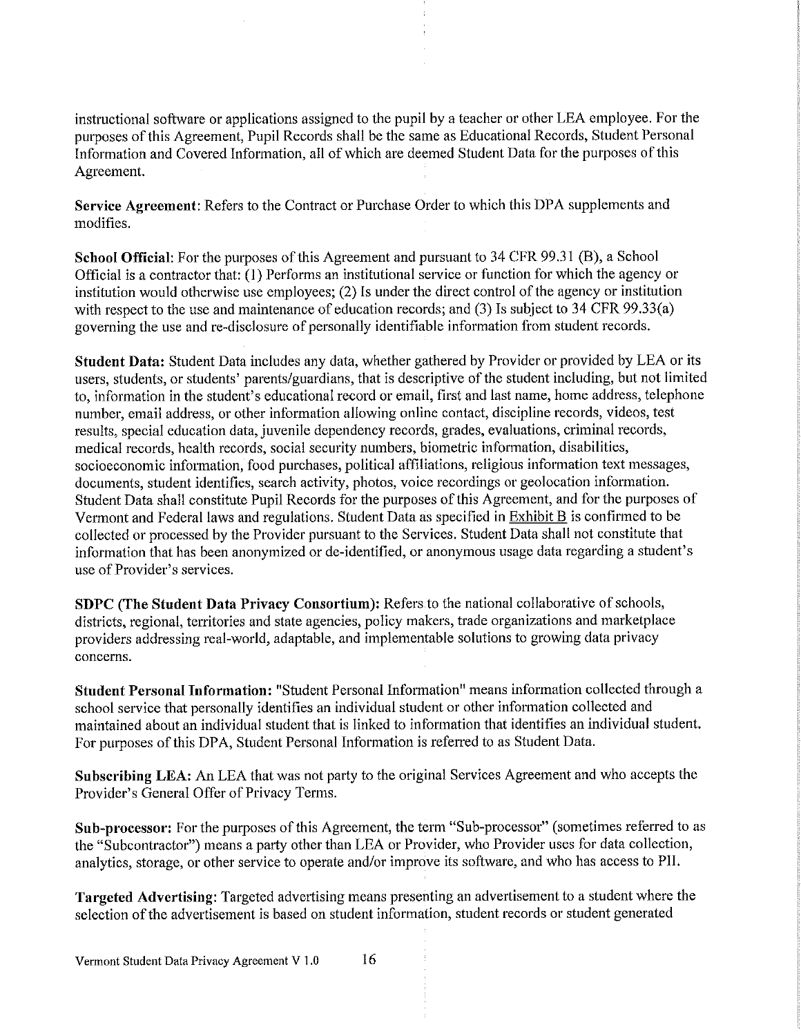instructional software or applications assigned to the pupil by a teacher or other LEA employee. For the purposes of this Agreement, Pupil Records shall be the same as Educational Records, Student Personal Information and Covered Information, all of which are deemed Student Data for the purposes of this Agreement.

Service Agreement: Refers to the Contract or Purchase Order to which this DPA supplements and modifies.

School Official: For the purposes of this Agreement and pursuant to 34 CFR 99.31 (B), a School Official is a contractor that: (1) Performs an institutional service or function for which the agency or institution would otherwise use employees; (2) Is under the direct control of the agency or institution with respect to the use and maintenance of education records; and (3) Is subject to 34 CFR 99.33(a) governing the use and re-disclosure of personally identifiable information from student records.

Student Data: Student Data includes any data, whether gathered by Provider or provided by LEA or its users, students, or students' parents/guardians, that is descriptive of the student including, but not limited to, information in the student's educational record or email, first and last name, home address, telephone number, email address, or other information allowing online contact, discipline records, videos, test results, special education data, juvenile dependency records, grades, evaluations, criminal records, medical records, health records, social security numbers, biometric information, disabilities, socioeconomic information, food purchases, political affiliations, religious information text messages, documents, student identifies, search activity, photos, voice recordings or geolocation information. Student Data shall constitute Pupil Records for the purposes of this Agreement, and for the purposes of Vermont and Federal laws and regulations. Student Data as specified in Exhibit B is confirmed to be collected or processed by the Provider pursuant to the Services. Student Data shall not constitute that information that has been anonymized or de-identified, or anonymous usage data regarding a student's use of Provider's services.

SDPC (The Student Data Privacy Consortium): Refers to the national collaborative of schools, districts, regional, territories and state agencies, policy makers, trade organizations and marketplace providers addressing real-world, adaptable, and implementable solutions to growing data privacy concerns.

Student Personal Information: "Student Personal Information" means information collected through a school service that personally identifies an individual student or other information collected and maintained about an individual student that is linked to information that identifies an individual student. For purposes of this DPA, Student Personal Information is referred to as Student Data.

Subscribing LEA: An LEA that was not party to the original Services Agreement and who accepts the Provider's General Offer of Privacy Terms.

Sub-processor: For the purposes of this Agreement, the term "Sub-processor" (sometimes referred to as the "Subcontractor") means a party other than LEA or Provider, who Provider uses for data collection, analytics, storage, or other service to operate and/or improve its software, and who has access to PII.

**Targeted Advertising:** Targeted advertising means presenting an advertisement to a student where the selection of the advertisement is based on student information, student records or student generated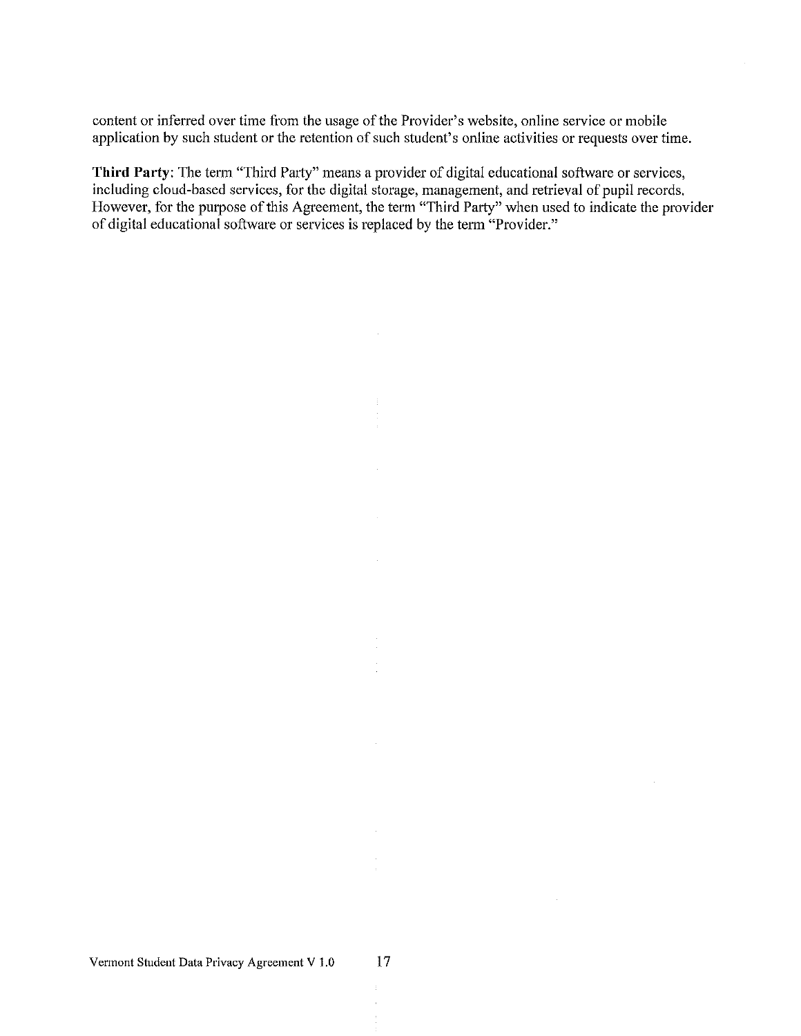content or inferred over time from the usage of the Provider's website, online service or mobile application by such student or the retention of such student's online activities or requests over time.

Third Party: The term "Third Party" means a provider of digital educational software or services, including cloud-based services, for the digital storage, management, and retrieval of pupil records. However, for the purpose of this Agreement, the term "Third Party" when used to indicate the provider of digital educational software or services is replaced by the term "Provider."

÷. Î.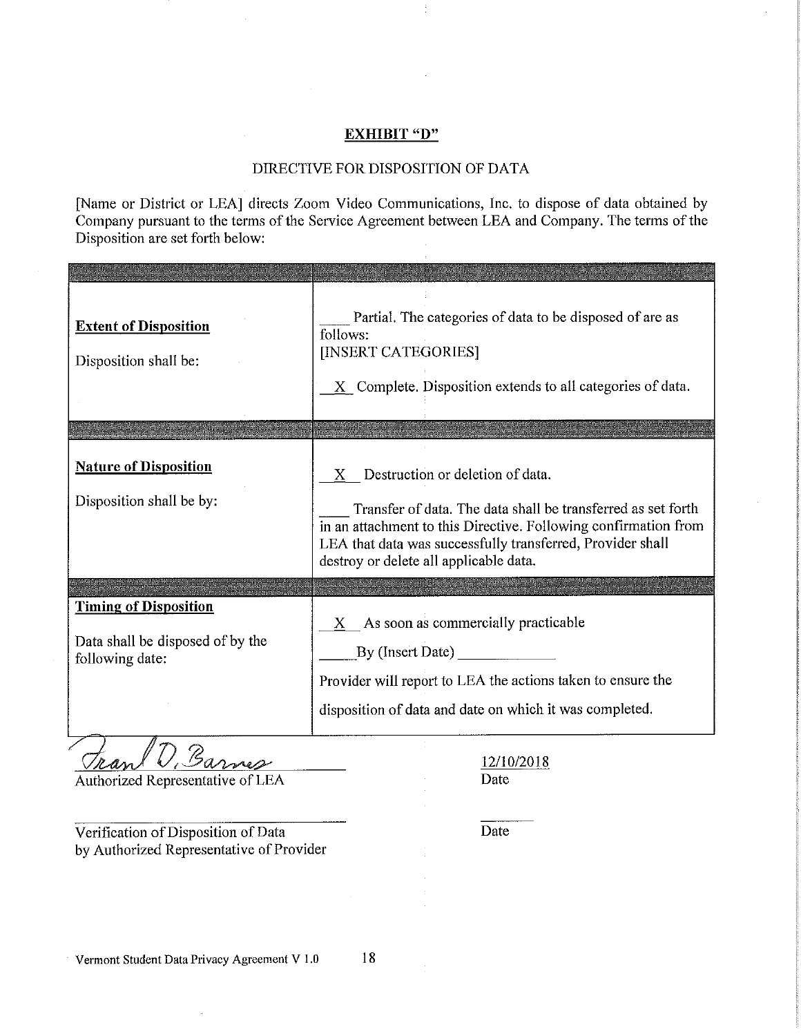#### **EXHIBIT "D"**

## DIRECTIVE FOR DISPOSITION OF DATA

[Name or District or LEA] directs Zoom Video Communications, Inc. to dispose of data obtained by Company pursuant to the terms of the Service Agreement between LEA and Company. The terms of the Disposition are set forth below:

| <b>Extent of Disposition</b><br>Disposition shall be:                               | Partial. The categories of data to be disposed of are as<br>follows:<br>[INSERT CATEGORIES]<br>X Complete. Disposition extends to all categories of data.                                                                                                                     |
|-------------------------------------------------------------------------------------|-------------------------------------------------------------------------------------------------------------------------------------------------------------------------------------------------------------------------------------------------------------------------------|
| <b>Nature of Disposition</b><br>Disposition shall be by:                            | X Destruction or deletion of data.<br>Transfer of data. The data shall be transferred as set forth<br>in an attachment to this Directive. Following confirmation from<br>LEA that data was successfully transferred, Provider shall<br>destroy or delete all applicable data. |
| <b>Timing of Disposition</b><br>Data shall be disposed of by the<br>following date: | X As soon as commercially practicable<br>By (Insert Date) $\_\_$<br>Provider will report to LEA the actions taken to ensure the<br>disposition of data and date on which it was completed.                                                                                    |

Frank D, Barnes

Authorized Representative of LEA

12/10/2018 Date

Verification of Disposition of Data by Authorized Representative of Provider Date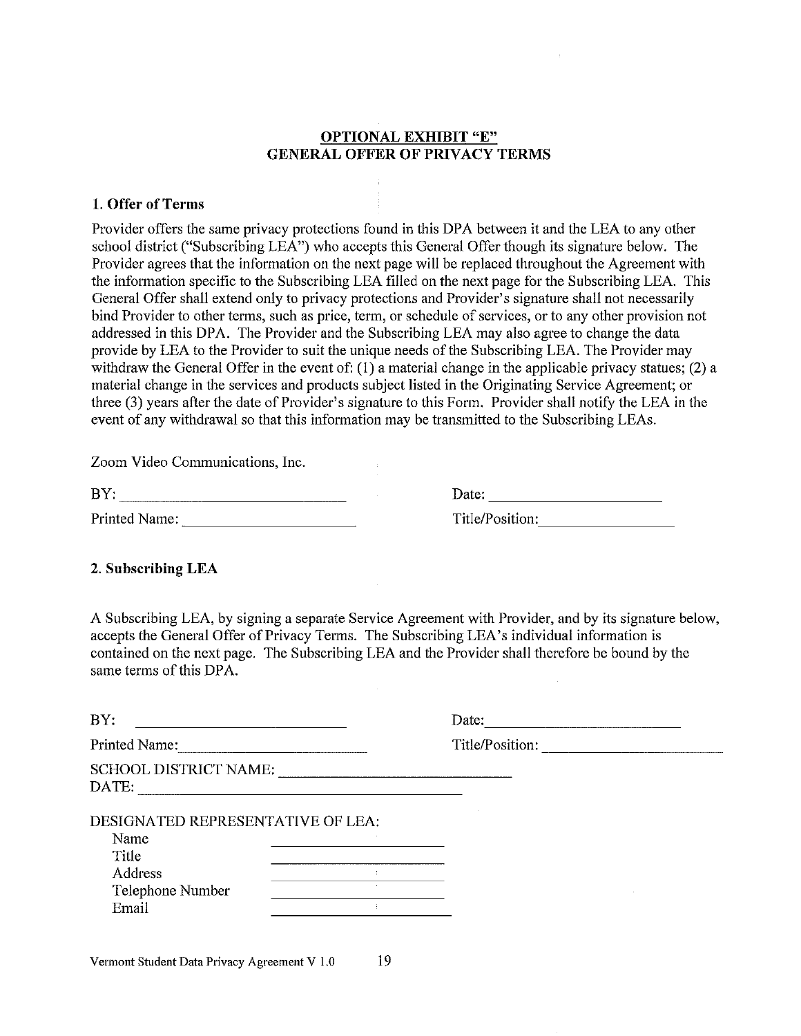# **OPTIONAL EXHIBIT "E" GENERAL OFFER OF PRIVACY TERMS**

### 1. Offer of Terms

Provider offers the same privacy protections found in this DPA between it and the LEA to any other school district ("Subscribing LEA") who accepts this General Offer though its signature below. The Provider agrees that the information on the next page will be replaced throughout the Agreement with the information specific to the Subscribing LEA filled on the next page for the Subscribing LEA. This General Offer shall extend only to privacy protections and Provider's signature shall not necessarily bind Provider to other terms, such as price, term, or schedule of services, or to any other provision not addressed in this DPA. The Provider and the Subscribing LEA may also agree to change the data provide by LEA to the Provider to suit the unique needs of the Subscribing LEA. The Provider may withdraw the General Offer in the event of:  $(1)$  a material change in the applicable privacy statues;  $(2)$  a material change in the services and products subject listed in the Originating Service Agreement; or three (3) years after the date of Provider's signature to this Form. Provider shall notify the LEA in the event of any withdrawal so that this information may be transmitted to the Subscribing LEAs.

Zoom Video Communications, Inc.

| BY:          |  |
|--------------|--|
| Drintod Nomo |  |

| Date: |                 |  |  |
|-------|-----------------|--|--|
|       | Title/Position: |  |  |

## 2. Subscribing LEA

A Subscribing LEA, by signing a separate Service Agreement with Provider, and by its signature below, accepts the General Offer of Privacy Terms. The Subscribing LEA's individual information is contained on the next page. The Subscribing LEA and the Provider shall therefore be bound by the same terms of this DPA.

| BY:                                   | Date:           |  |
|---------------------------------------|-----------------|--|
| Printed Name:                         | Title/Position: |  |
| <b>SCHOOL DISTRICT NAME:</b><br>DATE: |                 |  |
| DESIGNATED REPRESENTATIVE OF LEA:     |                 |  |
| Name                                  |                 |  |
| Title                                 |                 |  |
| Address                               |                 |  |
| Telephone Number                      |                 |  |
| Email                                 |                 |  |
|                                       |                 |  |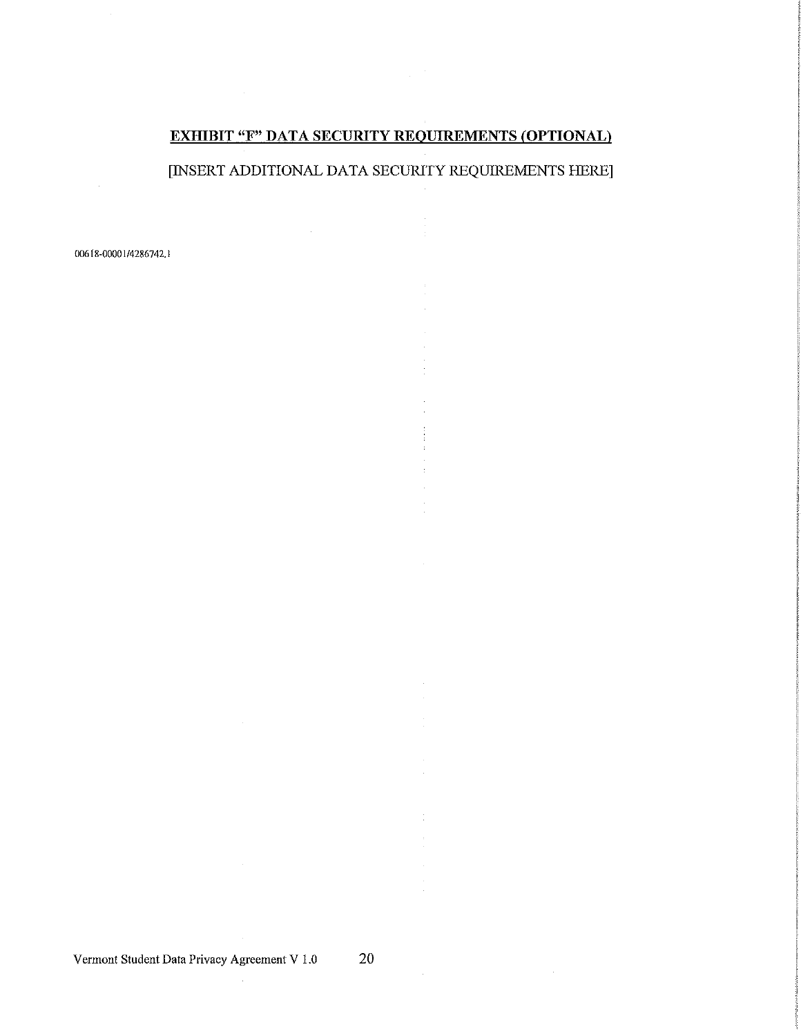# **EXHIBIT "F" DATA SECURITY REQUIREMENTS (OPTIONAL)**

[INSERT ADDITIONAL DATA SECURITY REQUIREMENTS HERE]

 $\hat{\mathbf{r}}$ 

 $\mathcal{L}$ 

00618-00001/4286742.1

 $\bar{z}$